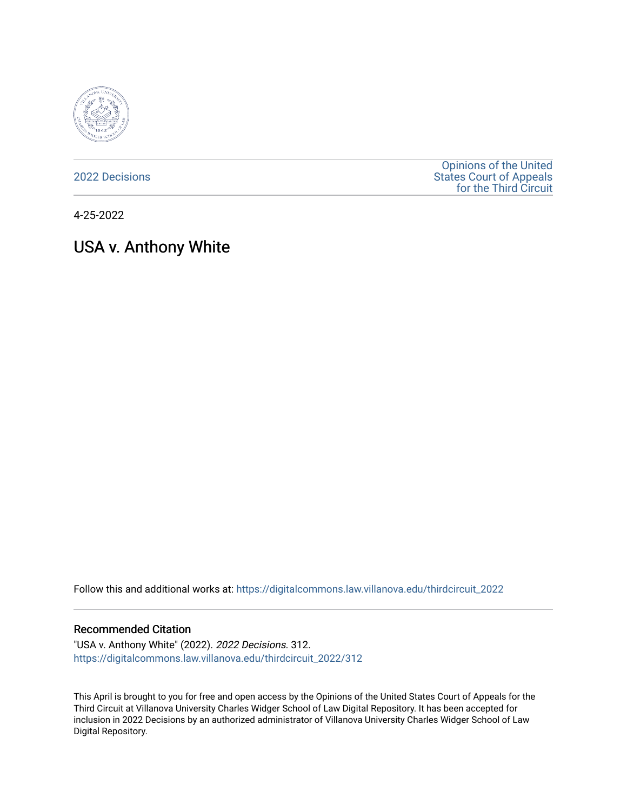

[2022 Decisions](https://digitalcommons.law.villanova.edu/thirdcircuit_2022)

[Opinions of the United](https://digitalcommons.law.villanova.edu/thirdcircuit)  [States Court of Appeals](https://digitalcommons.law.villanova.edu/thirdcircuit)  [for the Third Circuit](https://digitalcommons.law.villanova.edu/thirdcircuit) 

4-25-2022

# USA v. Anthony White

Follow this and additional works at: [https://digitalcommons.law.villanova.edu/thirdcircuit\\_2022](https://digitalcommons.law.villanova.edu/thirdcircuit_2022?utm_source=digitalcommons.law.villanova.edu%2Fthirdcircuit_2022%2F312&utm_medium=PDF&utm_campaign=PDFCoverPages) 

#### Recommended Citation

"USA v. Anthony White" (2022). 2022 Decisions. 312. [https://digitalcommons.law.villanova.edu/thirdcircuit\\_2022/312](https://digitalcommons.law.villanova.edu/thirdcircuit_2022/312?utm_source=digitalcommons.law.villanova.edu%2Fthirdcircuit_2022%2F312&utm_medium=PDF&utm_campaign=PDFCoverPages)

This April is brought to you for free and open access by the Opinions of the United States Court of Appeals for the Third Circuit at Villanova University Charles Widger School of Law Digital Repository. It has been accepted for inclusion in 2022 Decisions by an authorized administrator of Villanova University Charles Widger School of Law Digital Repository.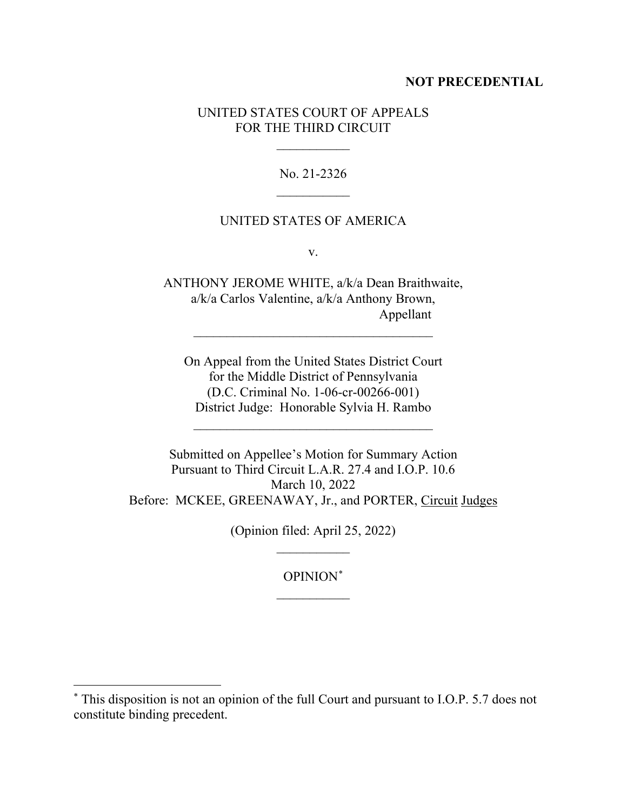#### **NOT PRECEDENTIAL**

## UNITED STATES COURT OF APPEALS FOR THE THIRD CIRCUIT

 $\frac{1}{2}$ 

No. 21-2326  $\frac{1}{2}$ 

## UNITED STATES OF AMERICA

v.

ANTHONY JEROME WHITE, a/k/a Dean Braithwaite, a/k/a Carlos Valentine, a/k/a Anthony Brown, Appellant

\_\_\_\_\_\_\_\_\_\_\_\_\_\_\_\_\_\_\_\_\_\_\_\_\_\_\_\_\_\_\_\_\_\_\_\_

On Appeal from the United States District Court for the Middle District of Pennsylvania (D.C. Criminal No. 1-06-cr-00266-001) District Judge: Honorable Sylvia H. Rambo

\_\_\_\_\_\_\_\_\_\_\_\_\_\_\_\_\_\_\_\_\_\_\_\_\_\_\_\_\_\_\_\_\_\_\_\_

Submitted on Appellee's Motion for Summary Action Pursuant to Third Circuit L.A.R. 27.4 and I.O.P. 10.6 March 10, 2022 Before: MCKEE, GREENAWAY, Jr., and PORTER, Circuit Judges

> (Opinion filed: April 25, 2022)  $\frac{1}{2}$

> > OPINION\*  $\overline{\phantom{a}}$

<sup>\*</sup> This disposition is not an opinion of the full Court and pursuant to I.O.P. 5.7 does not constitute binding precedent.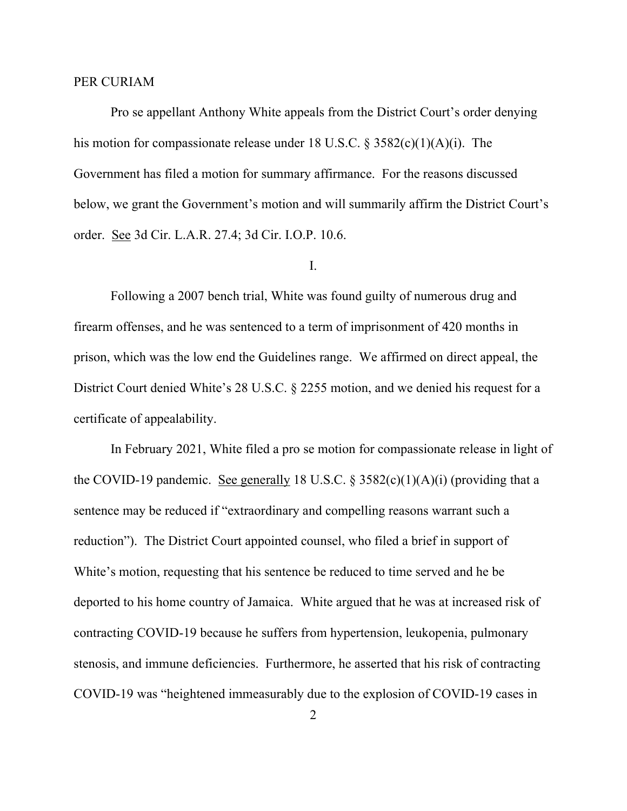#### PER CURIAM

Pro se appellant Anthony White appeals from the District Court's order denying his motion for compassionate release under 18 U.S.C.  $\S 3582(c)(1)(A)(i)$ . The Government has filed a motion for summary affirmance. For the reasons discussed below, we grant the Government's motion and will summarily affirm the District Court's order. See 3d Cir. L.A.R. 27.4; 3d Cir. I.O.P. 10.6.

## I.

Following a 2007 bench trial, White was found guilty of numerous drug and firearm offenses, and he was sentenced to a term of imprisonment of 420 months in prison, which was the low end the Guidelines range. We affirmed on direct appeal, the District Court denied White's 28 U.S.C. § 2255 motion, and we denied his request for a certificate of appealability.

In February 2021, White filed a pro se motion for compassionate release in light of the COVID-19 pandemic. See generally 18 U.S.C.  $\S 3582(c)(1)(A)(i)$  (providing that a sentence may be reduced if "extraordinary and compelling reasons warrant such a reduction"). The District Court appointed counsel, who filed a brief in support of White's motion, requesting that his sentence be reduced to time served and he be deported to his home country of Jamaica. White argued that he was at increased risk of contracting COVID-19 because he suffers from hypertension, leukopenia, pulmonary stenosis, and immune deficiencies. Furthermore, he asserted that his risk of contracting COVID-19 was "heightened immeasurably due to the explosion of COVID-19 cases in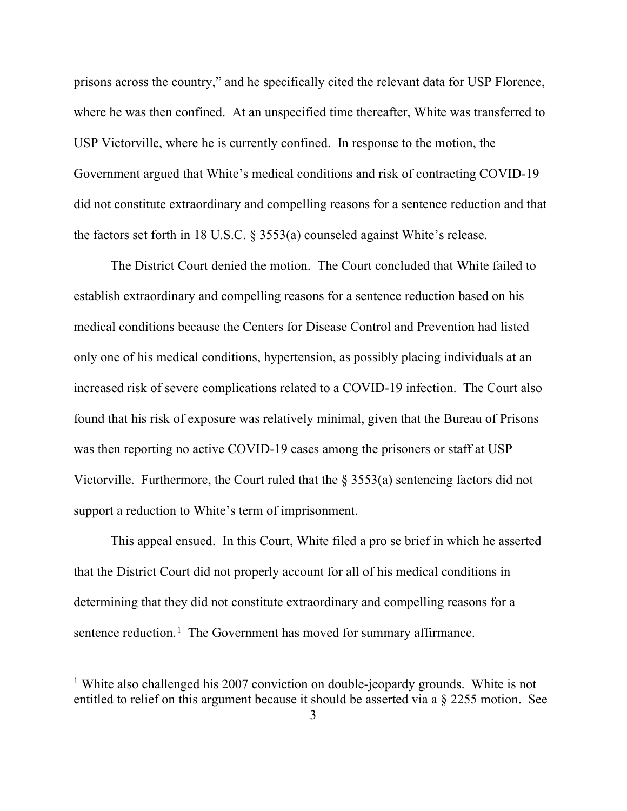prisons across the country," and he specifically cited the relevant data for USP Florence, where he was then confined. At an unspecified time thereafter, White was transferred to USP Victorville, where he is currently confined. In response to the motion, the Government argued that White's medical conditions and risk of contracting COVID-19 did not constitute extraordinary and compelling reasons for a sentence reduction and that the factors set forth in 18 U.S.C. § 3553(a) counseled against White's release.

The District Court denied the motion. The Court concluded that White failed to establish extraordinary and compelling reasons for a sentence reduction based on his medical conditions because the Centers for Disease Control and Prevention had listed only one of his medical conditions, hypertension, as possibly placing individuals at an increased risk of severe complications related to a COVID-19 infection. The Court also found that his risk of exposure was relatively minimal, given that the Bureau of Prisons was then reporting no active COVID-19 cases among the prisoners or staff at USP Victorville. Furthermore, the Court ruled that the § 3553(a) sentencing factors did not support a reduction to White's term of imprisonment.

This appeal ensued. In this Court, White filed a pro se brief in which he asserted that the District Court did not properly account for all of his medical conditions in determining that they did not constitute extraordinary and compelling reasons for a sentence reduction.<sup>1</sup> The Government has moved for summary affirmance.

<sup>&</sup>lt;sup>1</sup> White also challenged his 2007 conviction on double-jeopardy grounds. White is not entitled to relief on this argument because it should be asserted via a § 2255 motion. See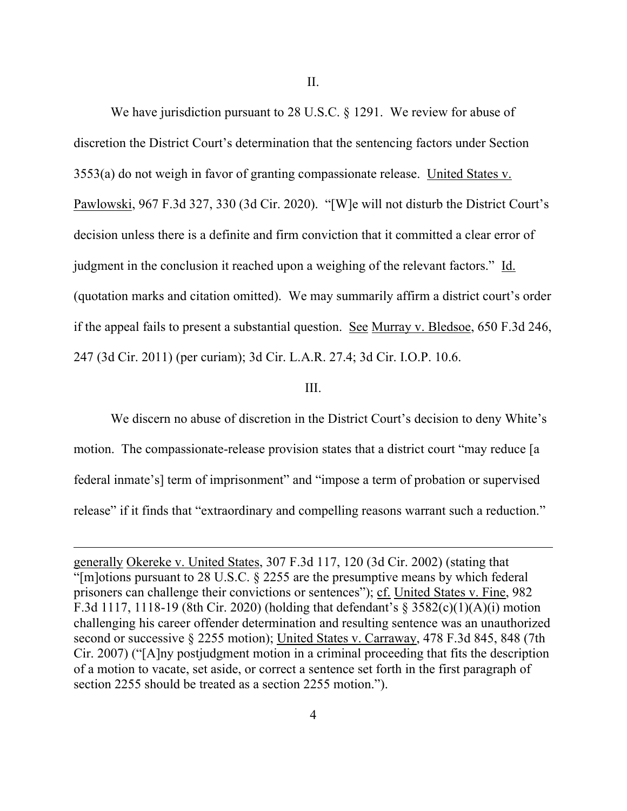II.

We have jurisdiction pursuant to 28 U.S.C. § 1291. We review for abuse of discretion the District Court's determination that the sentencing factors under Section 3553(a) do not weigh in favor of granting compassionate release. United States v. Pawlowski, 967 F.3d 327, 330 (3d Cir. 2020). "[W]e will not disturb the District Court's decision unless there is a definite and firm conviction that it committed a clear error of judgment in the conclusion it reached upon a weighing of the relevant factors." Id. (quotation marks and citation omitted). We may summarily affirm a district court's order if the appeal fails to present a substantial question. See Murray v. Bledsoe, 650 F.3d 246, 247 (3d Cir. 2011) (per curiam); 3d Cir. L.A.R. 27.4; 3d Cir. I.O.P. 10.6.

#### III.

We discern no abuse of discretion in the District Court's decision to deny White's motion. The compassionate-release provision states that a district court "may reduce [a federal inmate's] term of imprisonment" and "impose a term of probation or supervised release" if it finds that "extraordinary and compelling reasons warrant such a reduction."

generally Okereke v. United States, 307 F.3d 117, 120 (3d Cir. 2002) (stating that "[m]otions pursuant to 28 U.S.C. § 2255 are the presumptive means by which federal prisoners can challenge their convictions or sentences"); cf. United States v. Fine, 982 F.3d 1117, 1118-19 (8th Cir. 2020) (holding that defendant's § 3582(c)(1)(A)(i) motion challenging his career offender determination and resulting sentence was an unauthorized second or successive § 2255 motion); United States v. Carraway, 478 F.3d 845, 848 (7th Cir. 2007) ("[A]ny postjudgment motion in a criminal proceeding that fits the description of a motion to vacate, set aside, or correct a sentence set forth in the first paragraph of section 2255 should be treated as a section 2255 motion.").